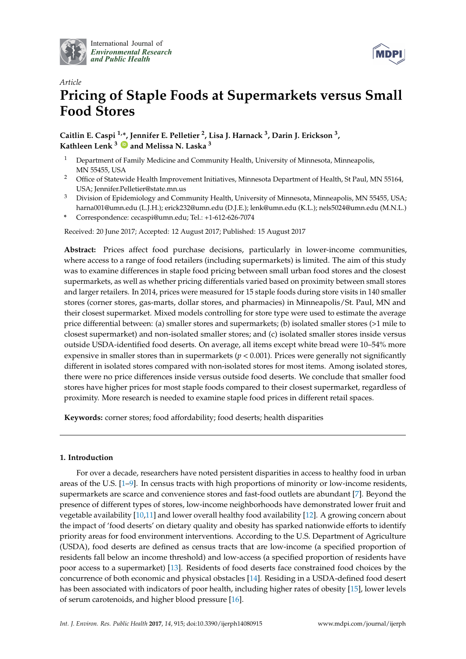

International Journal of *[Environmental Research](http://www.mdpi.com/journal/ijerph) and Public Health*



# *Article* **Pricing of Staple Foods at Supermarkets versus Small Food Stores**

**Caitlin E. Caspi 1,\*, Jennifer E. Pelletier <sup>2</sup> , Lisa J. Harnack <sup>3</sup> , Darin J. Erickson <sup>3</sup> , Kathleen Lenk <sup>3</sup> [ID](https://orcid.org/0000-0003-3678-8322) and Melissa N. Laska <sup>3</sup>**

- <sup>1</sup> Department of Family Medicine and Community Health, University of Minnesota, Minneapolis, MN 55455, USA
- <sup>2</sup> Office of Statewide Health Improvement Initiatives, Minnesota Department of Health, St Paul, MN 55164, USA; Jennifer.Pelletier@state.mn.us
- Division of Epidemiology and Community Health, University of Minnesota, Minneapolis, MN 55455, USA; harna001@umn.edu (L.J.H.); erick232@umn.edu (D.J.E.); lenk@umn.edu (K.L.); nels5024@umn.edu (M.N.L.)
- **\*** Correspondence: cecaspi@umn.edu; Tel.: +1-612-626-7074

Received: 20 June 2017; Accepted: 12 August 2017; Published: 15 August 2017

**Abstract:** Prices affect food purchase decisions, particularly in lower-income communities, where access to a range of food retailers (including supermarkets) is limited. The aim of this study was to examine differences in staple food pricing between small urban food stores and the closest supermarkets, as well as whether pricing differentials varied based on proximity between small stores and larger retailers. In 2014, prices were measured for 15 staple foods during store visits in 140 smaller stores (corner stores, gas-marts, dollar stores, and pharmacies) in Minneapolis/St. Paul, MN and their closest supermarket. Mixed models controlling for store type were used to estimate the average price differential between: (a) smaller stores and supermarkets; (b) isolated smaller stores (>1 mile to closest supermarket) and non-isolated smaller stores; and (c) isolated smaller stores inside versus outside USDA-identified food deserts. On average, all items except white bread were 10–54% more expensive in smaller stores than in supermarkets  $(p < 0.001)$ . Prices were generally not significantly different in isolated stores compared with non-isolated stores for most items. Among isolated stores, there were no price differences inside versus outside food deserts. We conclude that smaller food stores have higher prices for most staple foods compared to their closest supermarket, regardless of proximity. More research is needed to examine staple food prices in different retail spaces.

**Keywords:** corner stores; food affordability; food deserts; health disparities

## **1. Introduction**

For over a decade, researchers have noted persistent disparities in access to healthy food in urban areas of the U.S. [\[1](#page-8-0)[–9\]](#page-9-0). In census tracts with high proportions of minority or low-income residents, supermarkets are scarce and convenience stores and fast-food outlets are abundant [\[7\]](#page-9-1). Beyond the presence of different types of stores, low-income neighborhoods have demonstrated lower fruit and vegetable availability [\[10,](#page-9-2)[11\]](#page-9-3) and lower overall healthy food availability [\[12\]](#page-9-4). A growing concern about the impact of 'food deserts' on dietary quality and obesity has sparked nationwide efforts to identify priority areas for food environment interventions. According to the U.S. Department of Agriculture (USDA), food deserts are defined as census tracts that are low-income (a specified proportion of residents fall below an income threshold) and low-access (a specified proportion of residents have poor access to a supermarket) [\[13\]](#page-9-5). Residents of food deserts face constrained food choices by the concurrence of both economic and physical obstacles [\[14\]](#page-9-6). Residing in a USDA-defined food desert has been associated with indicators of poor health, including higher rates of obesity [\[15\]](#page-9-7), lower levels of serum carotenoids, and higher blood pressure [\[16\]](#page-9-8).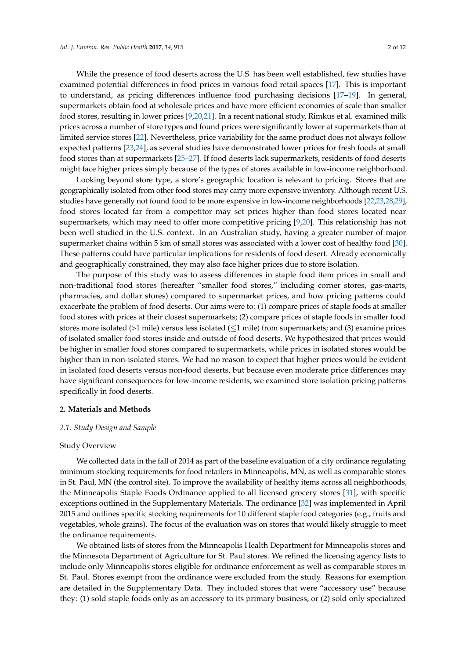While the presence of food deserts across the U.S. has been well established, few studies have examined potential differences in food prices in various food retail spaces [\[17\]](#page-9-9). This is important to understand, as pricing differences influence food purchasing decisions [\[17–](#page-9-9)[19\]](#page-9-10). In general, supermarkets obtain food at wholesale prices and have more efficient economies of scale than smaller food stores, resulting in lower prices [\[9,](#page-9-0)[20,](#page-9-11)[21\]](#page-9-12). In a recent national study, Rimkus et al. examined milk prices across a number of store types and found prices were significantly lower at supermarkets than at limited service stores [\[22\]](#page-9-13). Nevertheless, price variability for the same product does not always follow expected patterns [\[23](#page-9-14)[,24\]](#page-9-15), as several studies have demonstrated lower prices for fresh foods at small food stores than at supermarkets [\[25](#page-9-16)[–27\]](#page-10-0). If food deserts lack supermarkets, residents of food deserts might face higher prices simply because of the types of stores available in low-income neighborhood.

Looking beyond store type, a store's geographic location is relevant to pricing. Stores that are geographically isolated from other food stores may carry more expensive inventory. Although recent U.S. studies have generally not found food to be more expensive in low-income neighborhoods [\[22,](#page-9-13)[23,](#page-9-14)[28,](#page-10-1)[29\]](#page-10-2), food stores located far from a competitor may set prices higher than food stores located near supermarkets, which may need to offer more competitive pricing [\[9,](#page-9-0)[20\]](#page-9-11). This relationship has not been well studied in the U.S. context. In an Australian study, having a greater number of major supermarket chains within 5 km of small stores was associated with a lower cost of healthy food [\[30\]](#page-10-3). These patterns could have particular implications for residents of food desert. Already economically and geographically constrained, they may also face higher prices due to store isolation.

The purpose of this study was to assess differences in staple food item prices in small and non-traditional food stores (hereafter "smaller food stores," including corner stores, gas-marts, pharmacies, and dollar stores) compared to supermarket prices, and how pricing patterns could exacerbate the problem of food deserts. Our aims were to: (1) compare prices of staple foods at smaller food stores with prices at their closest supermarkets; (2) compare prices of staple foods in smaller food stores more isolated ( $>1$  mile) versus less isolated ( $\leq 1$  mile) from supermarkets; and (3) examine prices of isolated smaller food stores inside and outside of food deserts. We hypothesized that prices would be higher in smaller food stores compared to supermarkets, while prices in isolated stores would be higher than in non-isolated stores. We had no reason to expect that higher prices would be evident in isolated food deserts versus non-food deserts, but because even moderate price differences may have significant consequences for low-income residents, we examined store isolation pricing patterns specifically in food deserts.

#### **2. Materials and Methods**

#### *2.1. Study Design and Sample*

### Study Overview

We collected data in the fall of 2014 as part of the baseline evaluation of a city ordinance regulating minimum stocking requirements for food retailers in Minneapolis, MN, as well as comparable stores in St. Paul, MN (the control site). To improve the availability of healthy items across all neighborhoods, the Minneapolis Staple Foods Ordinance applied to all licensed grocery stores [\[31\]](#page-10-4), with specific exceptions outlined in the Supplementary Materials. The ordinance [\[32\]](#page-10-5) was implemented in April 2015 and outlines specific stocking requirements for 10 different staple food categories (e.g., fruits and vegetables, whole grains). The focus of the evaluation was on stores that would likely struggle to meet the ordinance requirements.

We obtained lists of stores from the Minneapolis Health Department for Minneapolis stores and the Minnesota Department of Agriculture for St. Paul stores. We refined the licensing agency lists to include only Minneapolis stores eligible for ordinance enforcement as well as comparable stores in St. Paul. Stores exempt from the ordinance were excluded from the study. Reasons for exemption are detailed in the Supplementary Data. They included stores that were "accessory use" because they: (1) sold staple foods only as an accessory to its primary business, or (2) sold only specialized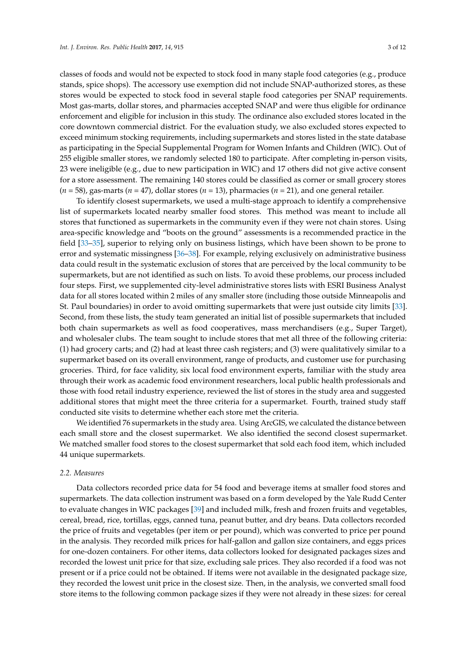classes of foods and would not be expected to stock food in many staple food categories (e.g., produce stands, spice shops). The accessory use exemption did not include SNAP-authorized stores, as these stores would be expected to stock food in several staple food categories per SNAP requirements. Most gas-marts, dollar stores, and pharmacies accepted SNAP and were thus eligible for ordinance enforcement and eligible for inclusion in this study. The ordinance also excluded stores located in the core downtown commercial district. For the evaluation study, we also excluded stores expected to exceed minimum stocking requirements, including supermarkets and stores listed in the state database as participating in the Special Supplemental Program for Women Infants and Children (WIC). Out of 255 eligible smaller stores, we randomly selected 180 to participate. After completing in-person visits, 23 were ineligible (e.g., due to new participation in WIC) and 17 others did not give active consent for a store assessment. The remaining 140 stores could be classified as corner or small grocery stores (*n* = 58), gas-marts (*n* = 47), dollar stores (*n* = 13), pharmacies (*n* = 21), and one general retailer.

To identify closest supermarkets, we used a multi-stage approach to identify a comprehensive list of supermarkets located nearby smaller food stores. This method was meant to include all stores that functioned as supermarkets in the community even if they were not chain stores. Using area-specific knowledge and "boots on the ground" assessments is a recommended practice in the field [\[33](#page-10-6)[–35\]](#page-10-7), superior to relying only on business listings, which have been shown to be prone to error and systematic missingness [\[36–](#page-10-8)[38\]](#page-10-9). For example, relying exclusively on administrative business data could result in the systematic exclusion of stores that are perceived by the local community to be supermarkets, but are not identified as such on lists. To avoid these problems, our process included four steps. First, we supplemented city-level administrative stores lists with ESRI Business Analyst data for all stores located within 2 miles of any smaller store (including those outside Minneapolis and St. Paul boundaries) in order to avoid omitting supermarkets that were just outside city limits [\[33\]](#page-10-6). Second, from these lists, the study team generated an initial list of possible supermarkets that included both chain supermarkets as well as food cooperatives, mass merchandisers (e.g., Super Target), and wholesaler clubs. The team sought to include stores that met all three of the following criteria: (1) had grocery carts; and (2) had at least three cash registers; and (3) were qualitatively similar to a supermarket based on its overall environment, range of products, and customer use for purchasing groceries. Third, for face validity, six local food environment experts, familiar with the study area through their work as academic food environment researchers, local public health professionals and those with food retail industry experience, reviewed the list of stores in the study area and suggested additional stores that might meet the three criteria for a supermarket. Fourth, trained study staff conducted site visits to determine whether each store met the criteria.

We identified 76 supermarkets in the study area. Using ArcGIS, we calculated the distance between each small store and the closest supermarket. We also identified the second closest supermarket. We matched smaller food stores to the closest supermarket that sold each food item, which included 44 unique supermarkets.

## *2.2. Measures*

Data collectors recorded price data for 54 food and beverage items at smaller food stores and supermarkets. The data collection instrument was based on a form developed by the Yale Rudd Center to evaluate changes in WIC packages [\[39\]](#page-10-10) and included milk, fresh and frozen fruits and vegetables, cereal, bread, rice, tortillas, eggs, canned tuna, peanut butter, and dry beans. Data collectors recorded the price of fruits and vegetables (per item or per pound), which was converted to price per pound in the analysis. They recorded milk prices for half-gallon and gallon size containers, and eggs prices for one-dozen containers. For other items, data collectors looked for designated packages sizes and recorded the lowest unit price for that size, excluding sale prices. They also recorded if a food was not present or if a price could not be obtained. If items were not available in the designated package size, they recorded the lowest unit price in the closest size. Then, in the analysis, we converted small food store items to the following common package sizes if they were not already in these sizes: for cereal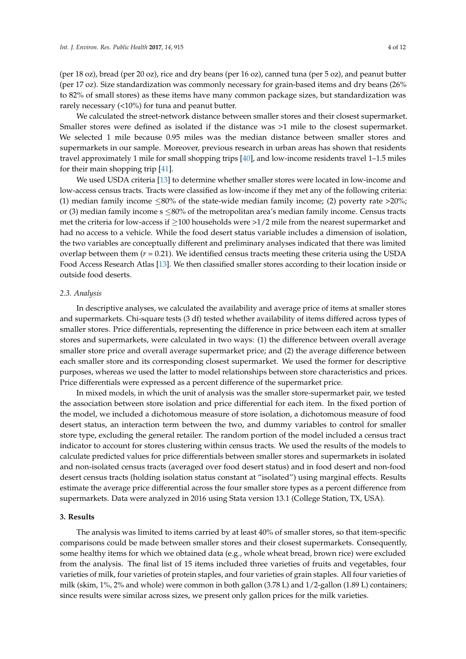(per 18 oz), bread (per 20 oz), rice and dry beans (per 16 oz), canned tuna (per 5 oz), and peanut butter (per 17 oz). Size standardization was commonly necessary for grain-based items and dry beans (26% to 82% of small stores) as these items have many common package sizes, but standardization was rarely necessary (<10%) for tuna and peanut butter.

We calculated the street-network distance between smaller stores and their closest supermarket. Smaller stores were defined as isolated if the distance was >1 mile to the closest supermarket. We selected 1 mile because 0.95 miles was the median distance between smaller stores and supermarkets in our sample. Moreover, previous research in urban areas has shown that residents travel approximately 1 mile for small shopping trips [\[40\]](#page-10-11), and low-income residents travel 1–1.5 miles for their main shopping trip [\[41\]](#page-10-12).

We used USDA criteria [\[13\]](#page-9-5) to determine whether smaller stores were located in low-income and low-access census tracts. Tracts were classified as low-income if they met any of the following criteria: (1) median family income  $\leq 80\%$  of the state-wide median family income; (2) poverty rate >20%; or (3) median family income  $s \leq 80\%$  of the metropolitan area's median family income. Census tracts met the criteria for low-access if  $\geq$ 100 households were  $\geq$ 1/2 mile from the nearest supermarket and had no access to a vehicle. While the food desert status variable includes a dimension of isolation, the two variables are conceptually different and preliminary analyses indicated that there was limited overlap between them  $(r = 0.21)$ . We identified census tracts meeting these criteria using the USDA Food Access Research Atlas [\[13\]](#page-9-5). We then classified smaller stores according to their location inside or outside food deserts.

## *2.3. Analysis*

In descriptive analyses, we calculated the availability and average price of items at smaller stores and supermarkets. Chi-square tests (3 df) tested whether availability of items differed across types of smaller stores. Price differentials, representing the difference in price between each item at smaller stores and supermarkets, were calculated in two ways: (1) the difference between overall average smaller store price and overall average supermarket price; and (2) the average difference between each smaller store and its corresponding closest supermarket. We used the former for descriptive purposes, whereas we used the latter to model relationships between store characteristics and prices. Price differentials were expressed as a percent difference of the supermarket price.

In mixed models, in which the unit of analysis was the smaller store-supermarket pair, we tested the association between store isolation and price differential for each item. In the fixed portion of the model, we included a dichotomous measure of store isolation, a dichotomous measure of food desert status, an interaction term between the two, and dummy variables to control for smaller store type, excluding the general retailer. The random portion of the model included a census tract indicator to account for stores clustering within census tracts. We used the results of the models to calculate predicted values for price differentials between smaller stores and supermarkets in isolated and non-isolated census tracts (averaged over food desert status) and in food desert and non-food desert census tracts (holding isolation status constant at "isolated") using marginal effects. Results estimate the average price differential across the four smaller store types as a percent difference from supermarkets. Data were analyzed in 2016 using Stata version 13.1 (College Station, TX, USA).

## **3. Results**

The analysis was limited to items carried by at least 40% of smaller stores, so that item-specific comparisons could be made between smaller stores and their closest supermarkets. Consequently, some healthy items for which we obtained data (e.g., whole wheat bread, brown rice) were excluded from the analysis. The final list of 15 items included three varieties of fruits and vegetables, four varieties of milk, four varieties of protein staples, and four varieties of grain staples. All four varieties of milk (skim, 1%, 2% and whole) were common in both gallon (3.78 L) and 1/2-gallon (1.89 L) containers; since results were similar across sizes, we present only gallon prices for the milk varieties.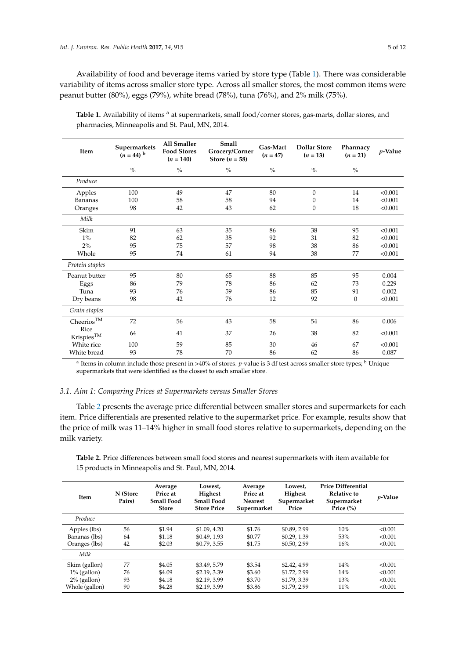Availability of food and beverage items varied by store type (Table [1\)](#page-4-0). There was considerable variability of items across smaller store type. Across all smaller stores, the most common items were peanut butter (80%), eggs (79%), white bread (78%), tuna (76%), and 2% milk (75%).

| Item                              | Supermarkets<br>$(n = 44)$ <sup>b</sup> | All Smaller<br><b>Food Stores</b><br>$(n = 140)$ | <b>Small</b><br>Grocery/Corner<br>Store $(n = 58)$ | Gas-Mart<br>$(n = 47)$ | <b>Dollar Store</b><br>$(n = 13)$ | Pharmacy<br>$(n = 21)$ | $p$ -Value |
|-----------------------------------|-----------------------------------------|--------------------------------------------------|----------------------------------------------------|------------------------|-----------------------------------|------------------------|------------|
|                                   | $\frac{0}{0}$                           | $\frac{0}{0}$                                    | $\%$                                               | $\frac{0}{0}$          | $\frac{0}{0}$                     | $\frac{0}{0}$          |            |
| Produce                           |                                         |                                                  |                                                    |                        |                                   |                        |            |
| Apples                            | 100                                     | 49                                               | 47                                                 | 80                     | 0                                 | 14                     | < 0.001    |
| Bananas                           | 100                                     | 58                                               | 58                                                 | 94                     | $\boldsymbol{0}$                  | 14                     | < 0.001    |
| Oranges                           | 98                                      | 42                                               | 43                                                 | 62                     | 0                                 | 18                     | < 0.001    |
| Milk                              |                                         |                                                  |                                                    |                        |                                   |                        |            |
| Skim                              | 91                                      | 63                                               | 35                                                 | 86                     | 38                                | 95                     | < 0.001    |
| $1\%$                             | 82                                      | 62                                               | 35                                                 | 92                     | 31                                | 82                     | < 0.001    |
| $2\%$                             | 95                                      | 75                                               | 57                                                 | 98                     | 38                                | 86                     | < 0.001    |
| Whole                             | 95                                      | 74                                               | 61                                                 | 94                     | 38                                | 77                     | < 0.001    |
| Protein staples                   |                                         |                                                  |                                                    |                        |                                   |                        |            |
| Peanut butter                     | 95                                      | 80                                               | 65                                                 | 88                     | 85                                | 95                     | 0.004      |
| Eggs                              | 86                                      | 79                                               | 78                                                 | 86                     | 62                                | 73                     | 0.229      |
| Tuna                              | 93                                      | 76                                               | 59                                                 | 86                     | 85                                | 91                     | 0.002      |
| Dry beans                         | 98                                      | 42                                               | 76                                                 | 12                     | 92                                | $\boldsymbol{0}$       | < 0.001    |
| Grain staples                     |                                         |                                                  |                                                    |                        |                                   |                        |            |
| $\mathsf{Cheerios}^{\mathsf{TM}}$ | 72                                      | 56                                               | 43                                                 | 58                     | 54                                | 86                     | 0.006      |
| Rice<br>Krispies <sup>TM</sup>    | 64                                      | 41                                               | 37                                                 | 26                     | 38                                | 82                     | < 0.001    |
| White rice                        | 100                                     | 59                                               | 85                                                 | 30                     | 46                                | 67                     | < 0.001    |
| White bread                       | 93                                      | 78                                               | 70                                                 | 86                     | 62                                | 86                     | 0.087      |

<span id="page-4-0"></span>Table 1. Availability of items <sup>a</sup> at supermarkets, small food/corner stores, gas-marts, dollar stores, and pharmacies, Minneapolis and St. Paul, MN, 2014.

<sup>a</sup> Items in column include those present in >40% of stores. *p*-value is 3 df test across smaller store types; <sup>b</sup> Unique supermarkets that were identified as the closest to each smaller store.

## *3.1. Aim 1: Comparing Prices at Supermarkets versus Smaller Stores*

Table [2](#page-5-0) presents the average price differential between smaller stores and supermarkets for each item. Price differentials are presented relative to the supermarket price. For example, results show that the price of milk was 11–14% higher in small food stores relative to supermarkets, depending on the milk variety.

**Table 2.** Price differences between small food stores and nearest supermarkets with item available for 15 products in Minneapolis and St. Paul, MN, 2014.

| Item           | N (Store<br>Pairs) | Average<br>Price at<br><b>Small Food</b><br><b>Store</b> | Lowest,<br>Highest<br><b>Small Food</b><br><b>Store Price</b> | Average<br>Price at<br><b>Nearest</b><br>Supermarket | Lowest,<br><b>Highest</b><br>Supermarket<br>Price | <b>Price Differential</b><br><b>Relative to</b><br>Supermarket<br>Price $(\%)$ | $p$ -Value |
|----------------|--------------------|----------------------------------------------------------|---------------------------------------------------------------|------------------------------------------------------|---------------------------------------------------|--------------------------------------------------------------------------------|------------|
| Produce        |                    |                                                          |                                                               |                                                      |                                                   |                                                                                |            |
| Apples (lbs)   | 56                 | \$1.94                                                   | \$1.09, 4.20                                                  | \$1.76                                               | \$0.89, 2.99                                      | 10%                                                                            | < 0.001    |
| Bananas (lbs)  | 64                 | \$1.18                                                   | \$0.49, 1.93                                                  | \$0.77                                               | \$0.29, 1.39                                      | 53%                                                                            | < 0.001    |
| Oranges (lbs)  | 42                 | \$2.03                                                   | \$0.79, 3.55                                                  | \$1.75                                               | \$0.50, 2.99                                      | 16%                                                                            | < 0.001    |
| Milk           |                    |                                                          |                                                               |                                                      |                                                   |                                                                                |            |
| Skim (gallon)  | 77                 | \$4.05                                                   | \$3.49, 5.79                                                  | \$3.54                                               | \$2.42, 4.99                                      | 14%                                                                            | < 0.001    |
| $1\%$ (gallon) | 76                 | \$4.09                                                   | \$2.19, 3.39                                                  | \$3.60                                               | \$1.72, 2.99                                      | 14%                                                                            | < 0.001    |
| $2\%$ (gallon) | 93                 | \$4.18                                                   | \$2.19, 3.99                                                  | \$3.70                                               | \$1.79, 3.39                                      | 13%                                                                            | < 0.001    |
| Whole (gallon) | 90                 | \$4.28                                                   | \$2.19, 3.99                                                  | \$3.86                                               | \$1.79, 2.99                                      | 11%                                                                            | < 0.001    |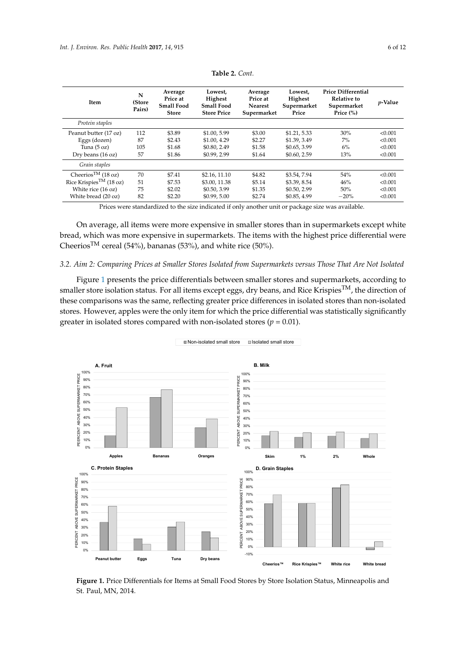<span id="page-5-0"></span>

| Item                                | N<br>(Store<br>Pairs) | Average<br>Price at<br>Small Food<br><b>Store</b> | Lowest.<br>Highest<br>Small Food<br><b>Store Price</b> | Average<br>Price at<br><b>Nearest</b><br>Supermarket | Lowest.<br>Highest<br>Supermarket<br>Price | <b>Price Differential</b><br><b>Relative to</b><br>Supermarket<br>Price $(\%)$ | <i>p</i> -Value |
|-------------------------------------|-----------------------|---------------------------------------------------|--------------------------------------------------------|------------------------------------------------------|--------------------------------------------|--------------------------------------------------------------------------------|-----------------|
| Protein staples                     |                       |                                                   |                                                        |                                                      |                                            |                                                                                |                 |
| Peanut butter (17 oz)               | 112                   | \$3.89                                            | \$1.00, 5.99                                           | \$3.00                                               | \$1.21, 5.33                               | 30%                                                                            | < 0.001         |
| Eggs (dozen)                        | 87                    | \$2.43                                            | \$1.00, 4.29                                           | \$2.27                                               | \$1.39, 3.49                               | 7%                                                                             | < 0.001         |
| Tuna $(5 \text{ oz})$               | 105                   | \$1.68                                            | \$0.80, 2.49                                           | \$1.58                                               | \$0.65, 3.99                               | $6\%$                                                                          | < 0.001         |
| Dry beans $(16 oz)$                 | 57                    | \$1.86                                            | \$0.99, 2.99                                           | \$1.64                                               | \$0.60, 2.59                               | 13%                                                                            | < 0.001         |
| Grain staples                       |                       |                                                   |                                                        |                                                      |                                            |                                                                                |                 |
| Cheerios <sup>TM</sup> (18 oz)      | 70                    | \$7.41                                            | \$2.16, 11.10                                          | \$4.82                                               | \$3.54,7.94                                | 54%                                                                            | < 0.001         |
| Rice Krispies <sup>TM</sup> (18 oz) | 51                    | \$7.53                                            | \$3.00.11.38                                           | \$5.14                                               | \$3.39, 8.54                               | 46%                                                                            | < 0.001         |
| White rice (16 oz)                  | 75                    | \$2.02                                            | \$0.50, 3.99                                           | \$1.35                                               | \$0.50, 2.99                               | 50%                                                                            | < 0.001         |
| White bread (20 oz)                 | 82                    | \$2.20                                            | \$0.99, 5.00                                           | \$2.74                                               | \$0.85, 4.99                               | $-20%$                                                                         | < 0.001         |

| Table 2. Cont. |  |  |
|----------------|--|--|
|----------------|--|--|

Prices were standardized to the size indicated if only another unit or package size was available.

On average, all items were more expensive in smaller stores than in supermarkets except white bread, which was more expensive in supermarkets. The items with the highest price differential were On average, all items were more expensive in smaller stores than in supermarkets except white Cheerios<sup>TM</sup> cereal (54%), bananas (53%), and white rice (50%). ber where the interest was more expensive in supermarkets. The items with the highest price differential web

## 3.2. Aim 2: Comparing Prices at Smaller Stores Isolated from Supermarkets versus Those That Are Not Isolated

Figure [1](#page-5-1) presents the price differentials between smaller stores and supermarkets, according to Figure 1 presents the price differentials between smaller stores and supermarkets, according to smaller store isolation status. For all items except eggs, dry beans, and Rice Krispies<sup>TM</sup>, the direction of these comparisons was the same, reflecting greater price differences in isolated stores than non-isolated stores. However, apples were the only item for which the price differential was statistically significantly greater in isolated stores compared with non-isolated stores ( $p = 0.01$ ).

#### $\blacksquare$  Non-isolated small store  $\blacksquare$  Isolated small store

<span id="page-5-1"></span>

Figure 1. Price Differentials for Items at Small Food Stores by Store Isolation Status, Minneapolis and St. Paul, MN, 2014. St. Paul, MN, 2014.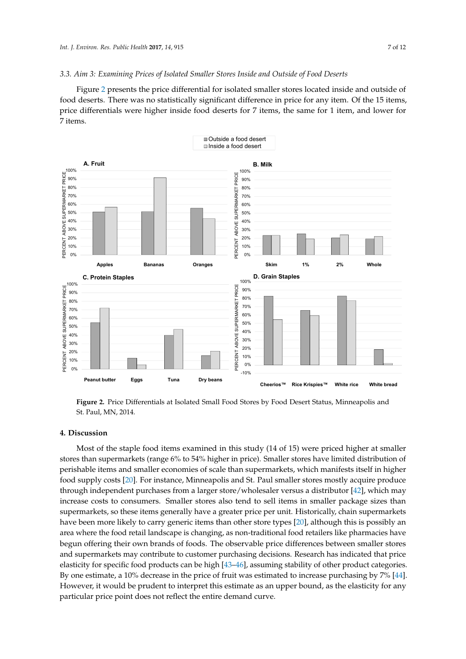### *3.3. Aim 3: Examining Prices of Isolated Smaller Stores Inside and Outside of Food Deserts*

Figure [2](#page-6-0) presents the price differential for isolated smaller stores located inside and outside of food deserts. There was no statistically significant difference in price for any item. Of the 15 items, price differentials were higher inside food deserts for 7 items, the same for 1 item, and lower for 7 items. differentials were higher inside for  $7 \text{ items}$ , the same for  $7 \text{ items}$ , and lower for  $1 \text{ items}$ , and lower for  $7 \text{ items}$ .

<span id="page-6-0"></span>

**Figure 2.** Price Differentials at Isolated Small Food Stores by Food Desert Status, Minneapolis and **Figure 2.** Price Differentials at Isolated Small Food Stores by Food Desert Status, Minneapolis and St. Paul, MN, 2014. St. Paul, MN, 2014.

## **4. Discussion 4. Discussion**

Most of the staple food items examined in this study (14 of 15) were priced higher at smaller Most of the staple food items examined in this study (14 of 15) were priced higher at smaller stores than supermarkets (range 6% to 54% higher in price). Smaller stores have limited distribution stores than supermarkets (range 6% to 54% higher in price). Smaller stores have limited distribution of of perishable items and smaller economies of scale than supermarkets, which manifests itself in perishable items and smaller economies of scale than supermarkets, which manifests itself in higher higher food supply costs [20]. For instance, Minneapolis and St. Paul smaller stores mostly acquire food supply costs [\[20\]](#page-9-11). For instance, Minneapolis and St. Paul smaller stores mostly acquire produce through independent purchases from a larger store/wholesaler versus a distributor [\[42\]](#page-10-13), which may increase costs to consumers. Smaller stores also tend to sell items in smaller package sizes than supermarkets, so these items generally have a greater price per unit. Historically, chain supermarkets have been more likely to carry generic items than other store types [\[20\]](#page-9-11), although this is possibly an area where the food retail landscape is changing, as non-traditional food retailers like pharmacies have begun offering their own brands of foods. The observable price differences between smaller stores and supermarkets may contribute to customer purchasing decisions. Research has indicated that price elasticity for specific food products can be high [\[43](#page-10-14)[–46\]](#page-11-0), assuming stability of other product categories. By one estimate, a 10% decrease in the price of fruit was estimated to increase purchasing by 7% [\[44\]](#page-10-15). However, it would be prudent to interpret this estimate as an upper bound, as the elasticity for any bound, as the elasticity for any particular price point does not reflect the entire demand curve. particular price point does not reflect the entire demand curve.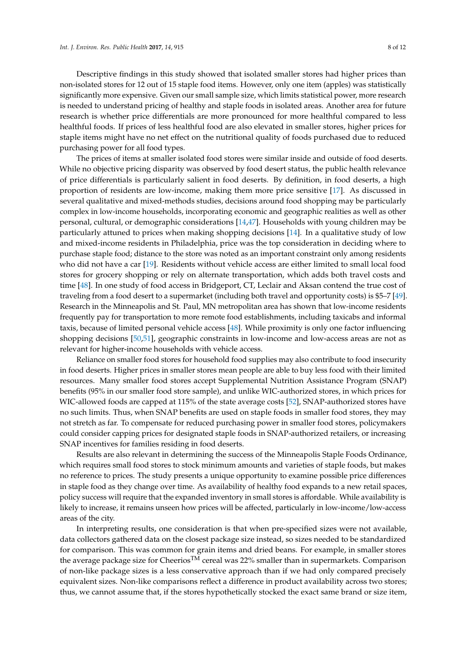Descriptive findings in this study showed that isolated smaller stores had higher prices than non-isolated stores for 12 out of 15 staple food items. However, only one item (apples) was statistically significantly more expensive. Given our small sample size, which limits statistical power, more research is needed to understand pricing of healthy and staple foods in isolated areas. Another area for future research is whether price differentials are more pronounced for more healthful compared to less healthful foods. If prices of less healthful food are also elevated in smaller stores, higher prices for staple items might have no net effect on the nutritional quality of foods purchased due to reduced purchasing power for all food types.

The prices of items at smaller isolated food stores were similar inside and outside of food deserts. While no objective pricing disparity was observed by food desert status, the public health relevance of price differentials is particularly salient in food deserts. By definition, in food deserts, a high proportion of residents are low-income, making them more price sensitive [\[17\]](#page-9-9). As discussed in several qualitative and mixed-methods studies, decisions around food shopping may be particularly complex in low-income households, incorporating economic and geographic realities as well as other personal, cultural, or demographic considerations [\[14,](#page-9-6)[47\]](#page-11-1). Households with young children may be particularly attuned to prices when making shopping decisions [\[14\]](#page-9-6). In a qualitative study of low and mixed-income residents in Philadelphia, price was the top consideration in deciding where to purchase staple food; distance to the store was noted as an important constraint only among residents who did not have a car [\[19\]](#page-9-10). Residents without vehicle access are either limited to small local food stores for grocery shopping or rely on alternate transportation, which adds both travel costs and time [\[48\]](#page-11-2). In one study of food access in Bridgeport, CT, Leclair and Aksan contend the true cost of traveling from a food desert to a supermarket (including both travel and opportunity costs) is \$5–7 [\[49\]](#page-11-3). Research in the Minneapolis and St. Paul, MN metropolitan area has shown that low-income residents frequently pay for transportation to more remote food establishments, including taxicabs and informal taxis, because of limited personal vehicle access [\[48\]](#page-11-2). While proximity is only one factor influencing shopping decisions [\[50](#page-11-4)[,51\]](#page-11-5), geographic constraints in low-income and low-access areas are not as relevant for higher-income households with vehicle access.

Reliance on smaller food stores for household food supplies may also contribute to food insecurity in food deserts. Higher prices in smaller stores mean people are able to buy less food with their limited resources. Many smaller food stores accept Supplemental Nutrition Assistance Program (SNAP) benefits (95% in our smaller food store sample), and unlike WIC-authorized stores, in which prices for WIC-allowed foods are capped at 115% of the state average costs [\[52\]](#page-11-6), SNAP-authorized stores have no such limits. Thus, when SNAP benefits are used on staple foods in smaller food stores, they may not stretch as far. To compensate for reduced purchasing power in smaller food stores, policymakers could consider capping prices for designated staple foods in SNAP-authorized retailers, or increasing SNAP incentives for families residing in food deserts.

Results are also relevant in determining the success of the Minneapolis Staple Foods Ordinance, which requires small food stores to stock minimum amounts and varieties of staple foods, but makes no reference to prices. The study presents a unique opportunity to examine possible price differences in staple food as they change over time. As availability of healthy food expands to a new retail spaces, policy success will require that the expanded inventory in small stores is affordable. While availability is likely to increase, it remains unseen how prices will be affected, particularly in low-income/low-access areas of the city.

In interpreting results, one consideration is that when pre-specified sizes were not available, data collectors gathered data on the closest package size instead, so sizes needed to be standardized for comparison. This was common for grain items and dried beans. For example, in smaller stores the average package size for Cheerios<sup>TM</sup> cereal was 22% smaller than in supermarkets. Comparison of non-like package sizes is a less conservative approach than if we had only compared precisely equivalent sizes. Non-like comparisons reflect a difference in product availability across two stores; thus, we cannot assume that, if the stores hypothetically stocked the exact same brand or size item,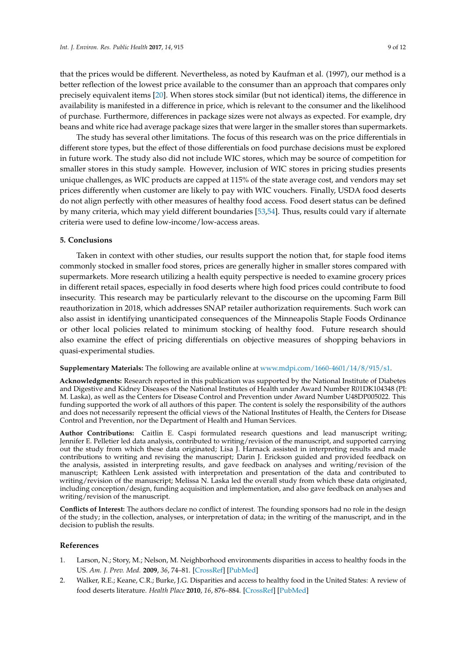that the prices would be different. Nevertheless, as noted by Kaufman et al. (1997), our method is a better reflection of the lowest price available to the consumer than an approach that compares only precisely equivalent items [\[20\]](#page-9-11). When stores stock similar (but not identical) items, the difference in availability is manifested in a difference in price, which is relevant to the consumer and the likelihood of purchase. Furthermore, differences in package sizes were not always as expected. For example, dry beans and white rice had average package sizes that were larger in the smaller stores than supermarkets.

The study has several other limitations. The focus of this research was on the price differentials in different store types, but the effect of those differentials on food purchase decisions must be explored in future work. The study also did not include WIC stores, which may be source of competition for smaller stores in this study sample. However, inclusion of WIC stores in pricing studies presents unique challenges, as WIC products are capped at 115% of the state average cost, and vendors may set prices differently when customer are likely to pay with WIC vouchers. Finally, USDA food deserts do not align perfectly with other measures of healthy food access. Food desert status can be defined by many criteria, which may yield different boundaries [\[53,](#page-11-7)[54\]](#page-11-8). Thus, results could vary if alternate criteria were used to define low-income/low-access areas.

## **5. Conclusions**

Taken in context with other studies, our results support the notion that, for staple food items commonly stocked in smaller food stores, prices are generally higher in smaller stores compared with supermarkets. More research utilizing a health equity perspective is needed to examine grocery prices in different retail spaces, especially in food deserts where high food prices could contribute to food insecurity. This research may be particularly relevant to the discourse on the upcoming Farm Bill reauthorization in 2018, which addresses SNAP retailer authorization requirements. Such work can also assist in identifying unanticipated consequences of the Minneapolis Staple Foods Ordinance or other local policies related to minimum stocking of healthy food. Future research should also examine the effect of pricing differentials on objective measures of shopping behaviors in quasi-experimental studies.

## **Supplementary Materials:** The following are available online at [www.mdpi.com/1660-4601/14/8/915/s1.](www.mdpi.com/1660-4601/14/8/915/s1)

**Acknowledgments:** Research reported in this publication was supported by the National Institute of Diabetes and Digestive and Kidney Diseases of the National Institutes of Health under Award Number R01DK104348 (PI: M. Laska), as well as the Centers for Disease Control and Prevention under Award Number U48DP005022. This funding supported the work of all authors of this paper. The content is solely the responsibility of the authors and does not necessarily represent the official views of the National Institutes of Health, the Centers for Disease Control and Prevention, nor the Department of Health and Human Services.

**Author Contributions:** Caitlin E. Caspi formulated research questions and lead manuscript writing; Jennifer E. Pelletier led data analysis, contributed to writing/revision of the manuscript, and supported carrying out the study from which these data originated; Lisa J. Harnack assisted in interpreting results and made contributions to writing and revising the manuscript; Darin J. Erickson guided and provided feedback on the analysis, assisted in interpreting results, and gave feedback on analyses and writing/revision of the manuscript; Kathleen Lenk assisted with interpretation and presentation of the data and contributed to writing/revision of the manuscript; Melissa N. Laska led the overall study from which these data originated, including conception/design, funding acquisition and implementation, and also gave feedback on analyses and writing/revision of the manuscript.

**Conflicts of Interest:** The authors declare no conflict of interest. The founding sponsors had no role in the design of the study; in the collection, analyses, or interpretation of data; in the writing of the manuscript, and in the decision to publish the results.

## **References**

- <span id="page-8-0"></span>1. Larson, N.; Story, M.; Nelson, M. Neighborhood environments disparities in access to healthy foods in the US. *Am. J. Prev. Med.* **2009**, *36*, 74–81. [\[CrossRef\]](http://dx.doi.org/10.1016/j.amepre.2008.09.025) [\[PubMed\]](http://www.ncbi.nlm.nih.gov/pubmed/18977112)
- 2. Walker, R.E.; Keane, C.R.; Burke, J.G. Disparities and access to healthy food in the United States: A review of food deserts literature. *Health Place* **2010**, *16*, 876–884. [\[CrossRef\]](http://dx.doi.org/10.1016/j.healthplace.2010.04.013) [\[PubMed\]](http://www.ncbi.nlm.nih.gov/pubmed/20462784)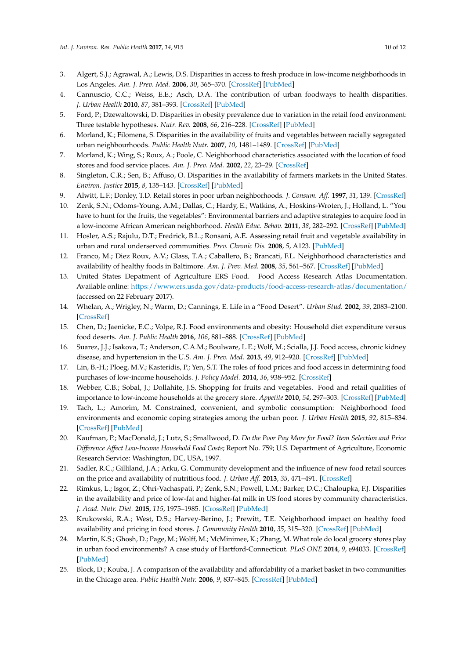- 3. Algert, S.J.; Agrawal, A.; Lewis, D.S. Disparities in access to fresh produce in low-income neighborhoods in Los Angeles. *Am. J. Prev. Med.* **2006**, *30*, 365–370. [\[CrossRef\]](http://dx.doi.org/10.1016/j.amepre.2006.01.009) [\[PubMed\]](http://www.ncbi.nlm.nih.gov/pubmed/16627123)
- 4. Cannuscio, C.C.; Weiss, E.E.; Asch, D.A. The contribution of urban foodways to health disparities. *J. Urban Health* **2010**, *87*, 381–393. [\[CrossRef\]](http://dx.doi.org/10.1007/s11524-010-9441-9) [\[PubMed\]](http://www.ncbi.nlm.nih.gov/pubmed/20354910)
- 5. Ford, P.; Dzewaltowski, D. Disparities in obesity prevalence due to variation in the retail food environment: Three testable hypotheses. *Nutr. Rev.* **2008**, *66*, 216–228. [\[CrossRef\]](http://dx.doi.org/10.1111/j.1753-4887.2008.00026.x) [\[PubMed\]](http://www.ncbi.nlm.nih.gov/pubmed/18366535)
- 6. Morland, K.; Filomena, S. Disparities in the availability of fruits and vegetables between racially segregated urban neighbourhoods. *Public Health Nutr.* **2007**, *10*, 1481–1489. [\[CrossRef\]](http://dx.doi.org/10.1017/S1368980007000079) [\[PubMed\]](http://www.ncbi.nlm.nih.gov/pubmed/17582241)
- <span id="page-9-1"></span>7. Morland, K.; Wing, S.; Roux, A.; Poole, C. Neighborhood characteristics associated with the location of food stores and food service places. *Am. J. Prev. Med.* **2002**, *22*, 23–29. [\[CrossRef\]](http://dx.doi.org/10.1016/S0749-3797(01)00403-2)
- 8. Singleton, C.R.; Sen, B.; Affuso, O. Disparities in the availability of farmers markets in the United States. *Environ. Justice* **2015**, *8*, 135–143. [\[CrossRef\]](http://dx.doi.org/10.1089/env.2015.0011) [\[PubMed\]](http://www.ncbi.nlm.nih.gov/pubmed/27746854)
- <span id="page-9-0"></span>9. Alwitt, L.F.; Donley, T.D. Retail stores in poor urban neighborhoods. *J. Consum. Aff.* **1997**, *31*, 139. [\[CrossRef\]](http://dx.doi.org/10.1111/j.1745-6606.1997.tb00830.x)
- <span id="page-9-2"></span>10. Zenk, S.N.; Odoms-Young, A.M.; Dallas, C.; Hardy, E.; Watkins, A.; Hoskins-Wroten, J.; Holland, L. "You have to hunt for the fruits, the vegetables": Environmental barriers and adaptive strategies to acquire food in a low-income African American neighborhood. *Health Educ. Behav.* **2011**, *38*, 282–292. [\[CrossRef\]](http://dx.doi.org/10.1177/1090198110372877) [\[PubMed\]](http://www.ncbi.nlm.nih.gov/pubmed/21511955)
- <span id="page-9-3"></span>11. Hosler, A.S.; Rajulu, D.T.; Fredrick, B.L.; Ronsani, A.E. Assessing retail fruit and vegetable availability in urban and rural underserved communities. *Prev. Chronic Dis.* **2008**, *5*, A123. [\[PubMed\]](http://www.ncbi.nlm.nih.gov/pubmed/18793511)
- <span id="page-9-4"></span>12. Franco, M.; Diez Roux, A.V.; Glass, T.A.; Caballero, B.; Brancati, F.L. Neighborhood characteristics and availability of healthy foods in Baltimore. *Am. J. Prev. Med.* **2008**, *35*, 561–567. [\[CrossRef\]](http://dx.doi.org/10.1016/j.amepre.2008.07.003) [\[PubMed\]](http://www.ncbi.nlm.nih.gov/pubmed/18842389)
- <span id="page-9-5"></span>13. United States Depatment of Agriculture ERS Food. Food Access Research Atlas Documentation. Available online: <https://www.ers.usda.gov/data-products/food-access-research-atlas/documentation/> (accessed on 22 February 2017).
- <span id="page-9-6"></span>14. Whelan, A.; Wrigley, N.; Warm, D.; Cannings, E. Life in a "Food Desert". *Urban Stud.* **2002**, *39*, 2083–2100. [\[CrossRef\]](http://dx.doi.org/10.1080/0042098022000011371)
- <span id="page-9-7"></span>15. Chen, D.; Jaenicke, E.C.; Volpe, R.J. Food environments and obesity: Household diet expenditure versus food deserts. *Am. J. Public Health* **2016**, *106*, 881–888. [\[CrossRef\]](http://dx.doi.org/10.2105/AJPH.2016.303048) [\[PubMed\]](http://www.ncbi.nlm.nih.gov/pubmed/26985622)
- <span id="page-9-8"></span>16. Suarez, J.J.; Isakova, T.; Anderson, C.A.M.; Boulware, L.E.; Wolf, M.; Scialla, J.J. Food access, chronic kidney disease, and hypertension in the U.S. *Am. J. Prev. Med.* **2015**, *49*, 912–920. [\[CrossRef\]](http://dx.doi.org/10.1016/j.amepre.2015.07.017) [\[PubMed\]](http://www.ncbi.nlm.nih.gov/pubmed/26590940)
- <span id="page-9-9"></span>17. Lin, B.-H.; Ploeg, M.V.; Kasteridis, P.; Yen, S.T. The roles of food prices and food access in determining food purchases of low-income households. *J. Policy Model.* **2014**, *36*, 938–952. [\[CrossRef\]](http://dx.doi.org/10.1016/j.jpolmod.2014.07.002)
- 18. Webber, C.B.; Sobal, J.; Dollahite, J.S. Shopping for fruits and vegetables. Food and retail qualities of importance to low-income households at the grocery store. *Appetite* **2010**, *54*, 297–303. [\[CrossRef\]](http://dx.doi.org/10.1016/j.appet.2009.11.015) [\[PubMed\]](http://www.ncbi.nlm.nih.gov/pubmed/19961886)
- <span id="page-9-10"></span>19. Tach, L.; Amorim, M. Constrained, convenient, and symbolic consumption: Neighborhood food environments and economic coping strategies among the urban poor. *J. Urban Health* **2015**, *92*, 815–834. [\[CrossRef\]](http://dx.doi.org/10.1007/s11524-015-9984-x) [\[PubMed\]](http://www.ncbi.nlm.nih.gov/pubmed/26382655)
- <span id="page-9-11"></span>20. Kaufman, P.; MacDonald, J.; Lutz, S.; Smallwood, D. *Do the Poor Pay More for Food? Item Selection and Price Difference Affect Low-Income Household Food Costs*; Report No. 759; U.S. Department of Agriculture, Economic Research Service: Washington, DC, USA, 1997.
- <span id="page-9-12"></span>21. Sadler, R.C.; Gilliland, J.A.; Arku, G. Community development and the influence of new food retail sources on the price and availability of nutritious food. *J. Urban Aff.* **2013**, *35*, 471–491. [\[CrossRef\]](http://dx.doi.org/10.1111/j.1467-9906.2012.00624.x)
- <span id="page-9-13"></span>22. Rimkus, L.; Isgor, Z.; Ohri-Vachaspati, P.; Zenk, S.N.; Powell, L.M.; Barker, D.C.; Chaloupka, F.J. Disparities in the availability and price of low-fat and higher-fat milk in US food stores by community characteristics. *J. Acad. Nutr. Diet.* **2015**, *115*, 1975–1985. [\[CrossRef\]](http://dx.doi.org/10.1016/j.jand.2015.04.002) [\[PubMed\]](http://www.ncbi.nlm.nih.gov/pubmed/26048532)
- <span id="page-9-14"></span>23. Krukowski, R.A.; West, D.S.; Harvey-Berino, J.; Prewitt, T.E. Neighborhood impact on healthy food availability and pricing in food stores. *J. Community Health* **2010**, *35*, 315–320. [\[CrossRef\]](http://dx.doi.org/10.1007/s10900-010-9224-y) [\[PubMed\]](http://www.ncbi.nlm.nih.gov/pubmed/20127506)
- <span id="page-9-15"></span>24. Martin, K.S.; Ghosh, D.; Page, M.; Wolff, M.; McMinimee, K.; Zhang, M. What role do local grocery stores play in urban food environments? A case study of Hartford-Connecticut. *PLoS ONE* **2014**, *9*, e94033. [\[CrossRef\]](http://dx.doi.org/10.1371/journal.pone.0094033) [\[PubMed\]](http://www.ncbi.nlm.nih.gov/pubmed/24718579)
- <span id="page-9-16"></span>25. Block, D.; Kouba, J. A comparison of the availability and affordability of a market basket in two communities in the Chicago area. *Public Health Nutr.* **2006**, *9*, 837–845. [\[CrossRef\]](http://dx.doi.org/10.1017/PHN2005924) [\[PubMed\]](http://www.ncbi.nlm.nih.gov/pubmed/17010248)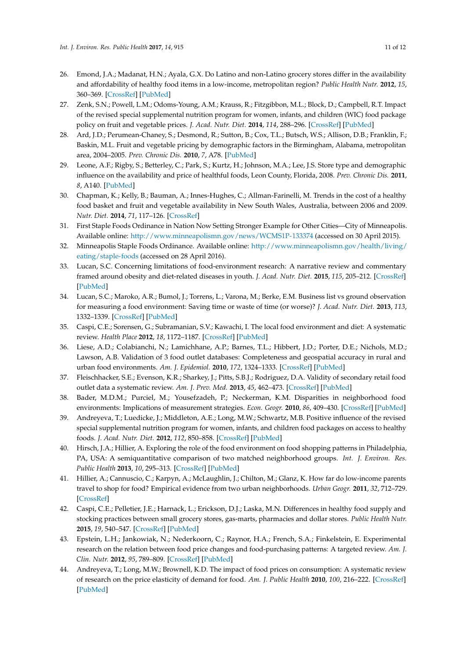- 26. Emond, J.A.; Madanat, H.N.; Ayala, G.X. Do Latino and non-Latino grocery stores differ in the availability and affordability of healthy food items in a low-income, metropolitan region? *Public Health Nutr.* **2012**, *15*, 360–369. [\[CrossRef\]](http://dx.doi.org/10.1017/S1368980011001169) [\[PubMed\]](http://www.ncbi.nlm.nih.gov/pubmed/21733278)
- <span id="page-10-0"></span>27. Zenk, S.N.; Powell, L.M.; Odoms-Young, A.M.; Krauss, R.; Fitzgibbon, M.L.; Block, D.; Campbell, R.T. Impact of the revised special supplemental nutrition program for women, infants, and children (WIC) food package policy on fruit and vegetable prices. *J. Acad. Nutr. Diet.* **2014**, *114*, 288–296. [\[CrossRef\]](http://dx.doi.org/10.1016/j.jand.2013.08.003) [\[PubMed\]](http://www.ncbi.nlm.nih.gov/pubmed/24183996)
- <span id="page-10-1"></span>28. Ard, J.D.; Perumean-Chaney, S.; Desmond, R.; Sutton, B.; Cox, T.L.; Butsch, W.S.; Allison, D.B.; Franklin, F.; Baskin, M.L. Fruit and vegetable pricing by demographic factors in the Birmingham, Alabama, metropolitan area, 2004–2005. *Prev. Chronic Dis.* **2010**, *7*, A78. [\[PubMed\]](http://www.ncbi.nlm.nih.gov/pubmed/20550836)
- <span id="page-10-2"></span>29. Leone, A.F.; Rigby, S.; Betterley, C.; Park, S.; Kurtz, H.; Johnson, M.A.; Lee, J.S. Store type and demographic influence on the availability and price of healthful foods, Leon County, Florida, 2008. *Prev. Chronic Dis.* **2011**, *8*, A140. [\[PubMed\]](http://www.ncbi.nlm.nih.gov/pubmed/22005633)
- <span id="page-10-3"></span>30. Chapman, K.; Kelly, B.; Bauman, A.; Innes-Hughes, C.; Allman-Farinelli, M. Trends in the cost of a healthy food basket and fruit and vegetable availability in New South Wales, Australia, between 2006 and 2009. *Nutr. Diet.* **2014**, *71*, 117–126. [\[CrossRef\]](http://dx.doi.org/10.1111/1747-0080.12057)
- <span id="page-10-4"></span>31. First Staple Foods Ordinance in Nation Now Setting Stronger Example for Other Cities—City of Minneapolis. Available online: <http://www.minneapolismn.gov/news/WCMS1P-133374> (accessed on 30 April 2015).
- <span id="page-10-5"></span>32. Minneapolis Staple Foods Ordinance. Available online: [http://www.minneapolismn.gov/health/living/](http://www.minneapolismn.gov/health/living/eating/staple-foods) [eating/staple-foods](http://www.minneapolismn.gov/health/living/eating/staple-foods) (accessed on 28 April 2016).
- <span id="page-10-6"></span>33. Lucan, S.C. Concerning limitations of food-environment research: A narrative review and commentary framed around obesity and diet-related diseases in youth. *J. Acad. Nutr. Diet.* **2015**, *115*, 205–212. [\[CrossRef\]](http://dx.doi.org/10.1016/j.jand.2014.08.019) [\[PubMed\]](http://www.ncbi.nlm.nih.gov/pubmed/25443565)
- 34. Lucan, S.C.; Maroko, A.R.; Bumol, J.; Torrens, L.; Varona, M.; Berke, E.M. Business list vs ground observation for measuring a food environment: Saving time or waste of time (or worse)? *J. Acad. Nutr. Diet.* **2013**, *113*, 1332–1339. [\[CrossRef\]](http://dx.doi.org/10.1016/j.jand.2013.05.011) [\[PubMed\]](http://www.ncbi.nlm.nih.gov/pubmed/23871107)
- <span id="page-10-7"></span>35. Caspi, C.E.; Sorensen, G.; Subramanian, S.V.; Kawachi, I. The local food environment and diet: A systematic review. *Health Place* **2012**, *18*, 1172–1187. [\[CrossRef\]](http://dx.doi.org/10.1016/j.healthplace.2012.05.006) [\[PubMed\]](http://www.ncbi.nlm.nih.gov/pubmed/22717379)
- <span id="page-10-8"></span>36. Liese, A.D.; Colabianchi, N.; Lamichhane, A.P.; Barnes, T.L.; Hibbert, J.D.; Porter, D.E.; Nichols, M.D.; Lawson, A.B. Validation of 3 food outlet databases: Completeness and geospatial accuracy in rural and urban food environments. *Am. J. Epidemiol.* **2010**, *172*, 1324–1333. [\[CrossRef\]](http://dx.doi.org/10.1093/aje/kwq292) [\[PubMed\]](http://www.ncbi.nlm.nih.gov/pubmed/20961970)
- 37. Fleischhacker, S.E.; Evenson, K.R.; Sharkey, J.; Pitts, S.B.J.; Rodriguez, D.A. Validity of secondary retail food outlet data a systematic review. *Am. J. Prev. Med.* **2013**, *45*, 462–473. [\[CrossRef\]](http://dx.doi.org/10.1016/j.amepre.2013.06.009) [\[PubMed\]](http://www.ncbi.nlm.nih.gov/pubmed/24050423)
- <span id="page-10-9"></span>38. Bader, M.D.M.; Purciel, M.; Yousefzadeh, P.; Neckerman, K.M. Disparities in neighborhood food environments: Implications of measurement strategies. *Econ. Geogr.* **2010**, *86*, 409–430. [\[CrossRef\]](http://dx.doi.org/10.1111/j.1944-8287.2010.01084.x) [\[PubMed\]](http://www.ncbi.nlm.nih.gov/pubmed/21117330)
- <span id="page-10-10"></span>39. Andreyeva, T.; Luedicke, J.; Middleton, A.E.; Long, M.W.; Schwartz, M.B. Positive influence of the revised special supplemental nutrition program for women, infants, and children food packages on access to healthy foods. *J. Acad. Nutr. Diet.* **2012**, *112*, 850–858. [\[CrossRef\]](http://dx.doi.org/10.1016/j.jand.2012.02.019) [\[PubMed\]](http://www.ncbi.nlm.nih.gov/pubmed/22709812)
- <span id="page-10-11"></span>40. Hirsch, J.A.; Hillier, A. Exploring the role of the food environment on food shopping patterns in Philadelphia, PA, USA: A semiquantitative comparison of two matched neighborhood groups. *Int. J. Environ. Res. Public Health* **2013**, *10*, 295–313. [\[CrossRef\]](http://dx.doi.org/10.3390/ijerph10010295) [\[PubMed\]](http://www.ncbi.nlm.nih.gov/pubmed/23343984)
- <span id="page-10-12"></span>41. Hillier, A.; Cannuscio, C.; Karpyn, A.; McLaughlin, J.; Chilton, M.; Glanz, K. How far do low-income parents travel to shop for food? Empirical evidence from two urban neighborhoods. *Urban Geogr.* **2011**, *32*, 712–729. [\[CrossRef\]](http://dx.doi.org/10.2747/0272-3638.32.5.712)
- <span id="page-10-13"></span>42. Caspi, C.E.; Pelletier, J.E.; Harnack, L.; Erickson, D.J.; Laska, M.N. Differences in healthy food supply and stocking practices between small grocery stores, gas-marts, pharmacies and dollar stores. *Public Health Nutr.* **2015**, *19*, 540–547. [\[CrossRef\]](http://dx.doi.org/10.1017/S1368980015002724) [\[PubMed\]](http://www.ncbi.nlm.nih.gov/pubmed/26411535)
- <span id="page-10-14"></span>43. Epstein, L.H.; Jankowiak, N.; Nederkoorn, C.; Raynor, H.A.; French, S.A.; Finkelstein, E. Experimental research on the relation between food price changes and food-purchasing patterns: A targeted review. *Am. J. Clin. Nutr.* **2012**, *95*, 789–809. [\[CrossRef\]](http://dx.doi.org/10.3945/ajcn.111.024380) [\[PubMed\]](http://www.ncbi.nlm.nih.gov/pubmed/22378726)
- <span id="page-10-15"></span>44. Andreyeva, T.; Long, M.W.; Brownell, K.D. The impact of food prices on consumption: A systematic review of research on the price elasticity of demand for food. *Am. J. Public Health* **2010**, *100*, 216–222. [\[CrossRef\]](http://dx.doi.org/10.2105/AJPH.2008.151415) [\[PubMed\]](http://www.ncbi.nlm.nih.gov/pubmed/20019319)